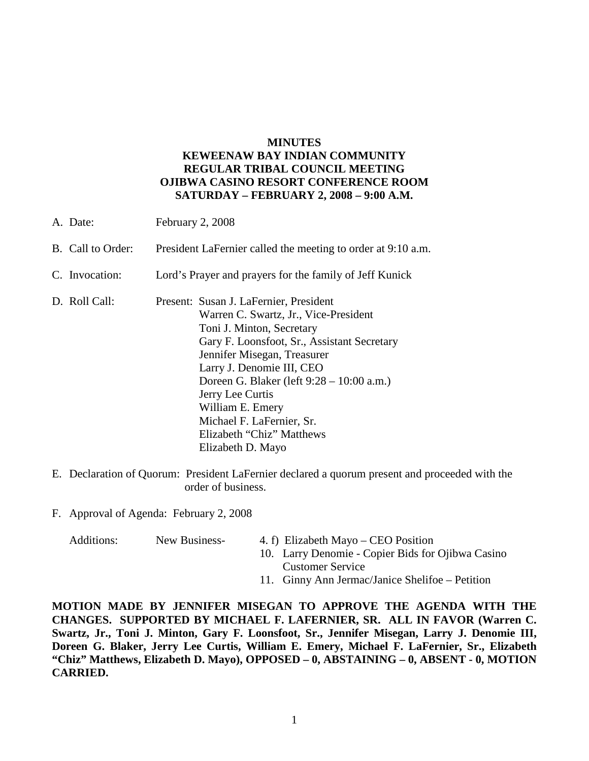# **MINUTES KEWEENAW BAY INDIAN COMMUNITY REGULAR TRIBAL COUNCIL MEETING OJIBWA CASINO RESORT CONFERENCE ROOM SATURDAY – FEBRUARY 2, 2008 – 9:00 A.M.**

| A. Date:          | February 2, 2008                                                                                                                                                                                                                                                                                                                          |  |
|-------------------|-------------------------------------------------------------------------------------------------------------------------------------------------------------------------------------------------------------------------------------------------------------------------------------------------------------------------------------------|--|
| B. Call to Order: | President LaFernier called the meeting to order at 9:10 a.m.                                                                                                                                                                                                                                                                              |  |
| C. Invocation:    | Lord's Prayer and prayers for the family of Jeff Kunick                                                                                                                                                                                                                                                                                   |  |
| D. Roll Call:     | Present: Susan J. LaFernier, President<br>Warren C. Swartz, Jr., Vice-President<br>Toni J. Minton, Secretary<br>Gary F. Loonsfoot, Sr., Assistant Secretary<br>Jennifer Misegan, Treasurer<br>Larry J. Denomie III, CEO<br>Doreen G. Blaker (left 9:28 – 10:00 a.m.)<br>Jerry Lee Curtis<br>William E. Emery<br>Michael F. LaFernier, Sr. |  |
|                   | Elizabeth "Chiz" Matthews<br>Elizabeth D. Mayo                                                                                                                                                                                                                                                                                            |  |

E. Declaration of Quorum: President LaFernier declared a quorum present and proceeded with the order of business.

F. Approval of Agenda: February 2, 2008

| Additions: | New Business- | 4. f) Elizabeth Mayo – CEO Position               |
|------------|---------------|---------------------------------------------------|
|            |               | 10. Larry Denomie - Copier Bids for Ojibwa Casino |
|            |               | <b>Customer Service</b>                           |
|            |               | 11. Ginny Ann Jermac/Janice Shelifoe – Petition   |

**MOTION MADE BY JENNIFER MISEGAN TO APPROVE THE AGENDA WITH THE CHANGES. SUPPORTED BY MICHAEL F. LAFERNIER, SR. ALL IN FAVOR (Warren C. Swartz, Jr., Toni J. Minton, Gary F. Loonsfoot, Sr., Jennifer Misegan, Larry J. Denomie III, Doreen G. Blaker, Jerry Lee Curtis, William E. Emery, Michael F. LaFernier, Sr., Elizabeth "Chiz" Matthews, Elizabeth D. Mayo), OPPOSED – 0, ABSTAINING – 0, ABSENT - 0, MOTION CARRIED.**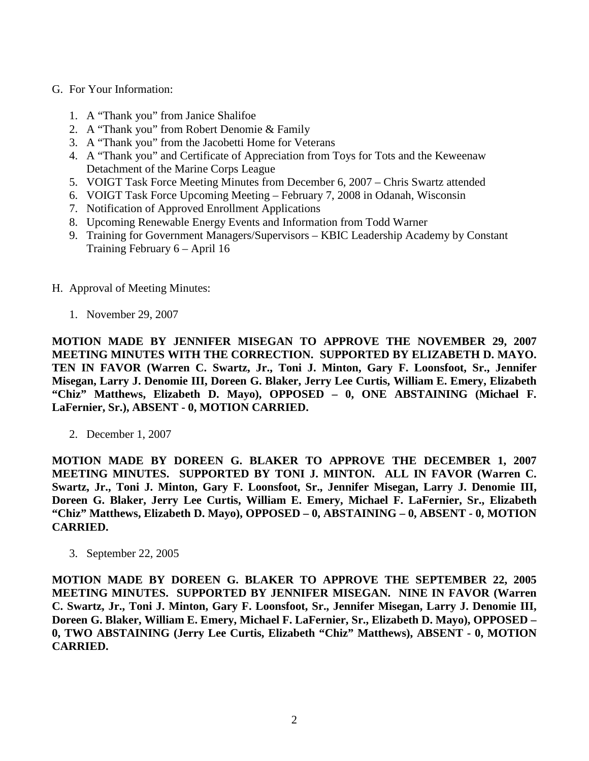### G. For Your Information:

- 1. A "Thank you" from Janice Shalifoe
- 2. A "Thank you" from Robert Denomie & Family
- 3. A "Thank you" from the Jacobetti Home for Veterans
- 4. A "Thank you" and Certificate of Appreciation from Toys for Tots and the Keweenaw Detachment of the Marine Corps League
- 5. VOIGT Task Force Meeting Minutes from December 6, 2007 Chris Swartz attended
- 6. VOIGT Task Force Upcoming Meeting February 7, 2008 in Odanah, Wisconsin
- 7. Notification of Approved Enrollment Applications
- 8. Upcoming Renewable Energy Events and Information from Todd Warner
- 9. Training for Government Managers/Supervisors KBIC Leadership Academy by Constant Training February 6 – April 16
- H. Approval of Meeting Minutes:
	- 1. November 29, 2007

**MOTION MADE BY JENNIFER MISEGAN TO APPROVE THE NOVEMBER 29, 2007 MEETING MINUTES WITH THE CORRECTION. SUPPORTED BY ELIZABETH D. MAYO. TEN IN FAVOR (Warren C. Swartz, Jr., Toni J. Minton, Gary F. Loonsfoot, Sr., Jennifer Misegan, Larry J. Denomie III, Doreen G. Blaker, Jerry Lee Curtis, William E. Emery, Elizabeth "Chiz" Matthews, Elizabeth D. Mayo), OPPOSED – 0, ONE ABSTAINING (Michael F. LaFernier, Sr.), ABSENT - 0, MOTION CARRIED.**

2. December 1, 2007

**MOTION MADE BY DOREEN G. BLAKER TO APPROVE THE DECEMBER 1, 2007 MEETING MINUTES. SUPPORTED BY TONI J. MINTON. ALL IN FAVOR (Warren C. Swartz, Jr., Toni J. Minton, Gary F. Loonsfoot, Sr., Jennifer Misegan, Larry J. Denomie III, Doreen G. Blaker, Jerry Lee Curtis, William E. Emery, Michael F. LaFernier, Sr., Elizabeth "Chiz" Matthews, Elizabeth D. Mayo), OPPOSED – 0, ABSTAINING – 0, ABSENT - 0, MOTION CARRIED.**

3. September 22, 2005

**MOTION MADE BY DOREEN G. BLAKER TO APPROVE THE SEPTEMBER 22, 2005 MEETING MINUTES. SUPPORTED BY JENNIFER MISEGAN. NINE IN FAVOR (Warren C. Swartz, Jr., Toni J. Minton, Gary F. Loonsfoot, Sr., Jennifer Misegan, Larry J. Denomie III, Doreen G. Blaker, William E. Emery, Michael F. LaFernier, Sr., Elizabeth D. Mayo), OPPOSED – 0, TWO ABSTAINING (Jerry Lee Curtis, Elizabeth "Chiz" Matthews), ABSENT - 0, MOTION CARRIED.**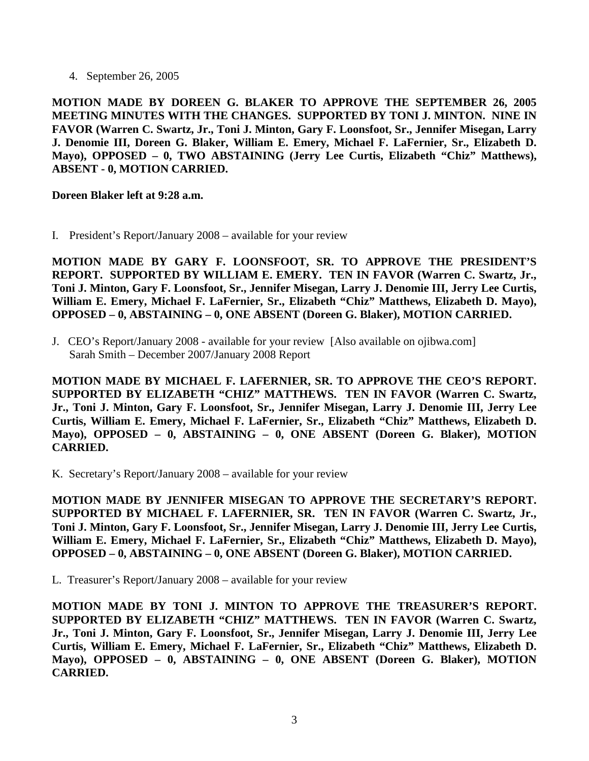4. September 26, 2005

**MOTION MADE BY DOREEN G. BLAKER TO APPROVE THE SEPTEMBER 26, 2005 MEETING MINUTES WITH THE CHANGES. SUPPORTED BY TONI J. MINTON. NINE IN FAVOR (Warren C. Swartz, Jr., Toni J. Minton, Gary F. Loonsfoot, Sr., Jennifer Misegan, Larry J. Denomie III, Doreen G. Blaker, William E. Emery, Michael F. LaFernier, Sr., Elizabeth D. Mayo), OPPOSED – 0, TWO ABSTAINING (Jerry Lee Curtis, Elizabeth "Chiz" Matthews), ABSENT - 0, MOTION CARRIED.**

### **Doreen Blaker left at 9:28 a.m.**

I. President's Report/January 2008 – available for your review

**MOTION MADE BY GARY F. LOONSFOOT, SR. TO APPROVE THE PRESIDENT'S REPORT. SUPPORTED BY WILLIAM E. EMERY. TEN IN FAVOR (Warren C. Swartz, Jr., Toni J. Minton, Gary F. Loonsfoot, Sr., Jennifer Misegan, Larry J. Denomie III, Jerry Lee Curtis, William E. Emery, Michael F. LaFernier, Sr., Elizabeth "Chiz" Matthews, Elizabeth D. Mayo), OPPOSED – 0, ABSTAINING – 0, ONE ABSENT (Doreen G. Blaker), MOTION CARRIED.**

J. CEO's Report/January 2008 - available for your review [Also available on ojibwa.com] Sarah Smith – December 2007/January 2008 Report

**MOTION MADE BY MICHAEL F. LAFERNIER, SR. TO APPROVE THE CEO'S REPORT. SUPPORTED BY ELIZABETH "CHIZ" MATTHEWS. TEN IN FAVOR (Warren C. Swartz, Jr., Toni J. Minton, Gary F. Loonsfoot, Sr., Jennifer Misegan, Larry J. Denomie III, Jerry Lee Curtis, William E. Emery, Michael F. LaFernier, Sr., Elizabeth "Chiz" Matthews, Elizabeth D. Mayo), OPPOSED – 0, ABSTAINING – 0, ONE ABSENT (Doreen G. Blaker), MOTION CARRIED.**

K. Secretary's Report/January 2008 – available for your review

**MOTION MADE BY JENNIFER MISEGAN TO APPROVE THE SECRETARY'S REPORT. SUPPORTED BY MICHAEL F. LAFERNIER, SR. TEN IN FAVOR (Warren C. Swartz, Jr., Toni J. Minton, Gary F. Loonsfoot, Sr., Jennifer Misegan, Larry J. Denomie III, Jerry Lee Curtis, William E. Emery, Michael F. LaFernier, Sr., Elizabeth "Chiz" Matthews, Elizabeth D. Mayo), OPPOSED – 0, ABSTAINING – 0, ONE ABSENT (Doreen G. Blaker), MOTION CARRIED.**

L. Treasurer's Report/January 2008 – available for your review

**MOTION MADE BY TONI J. MINTON TO APPROVE THE TREASURER'S REPORT. SUPPORTED BY ELIZABETH "CHIZ" MATTHEWS. TEN IN FAVOR (Warren C. Swartz, Jr., Toni J. Minton, Gary F. Loonsfoot, Sr., Jennifer Misegan, Larry J. Denomie III, Jerry Lee Curtis, William E. Emery, Michael F. LaFernier, Sr., Elizabeth "Chiz" Matthews, Elizabeth D. Mayo), OPPOSED – 0, ABSTAINING – 0, ONE ABSENT (Doreen G. Blaker), MOTION CARRIED.**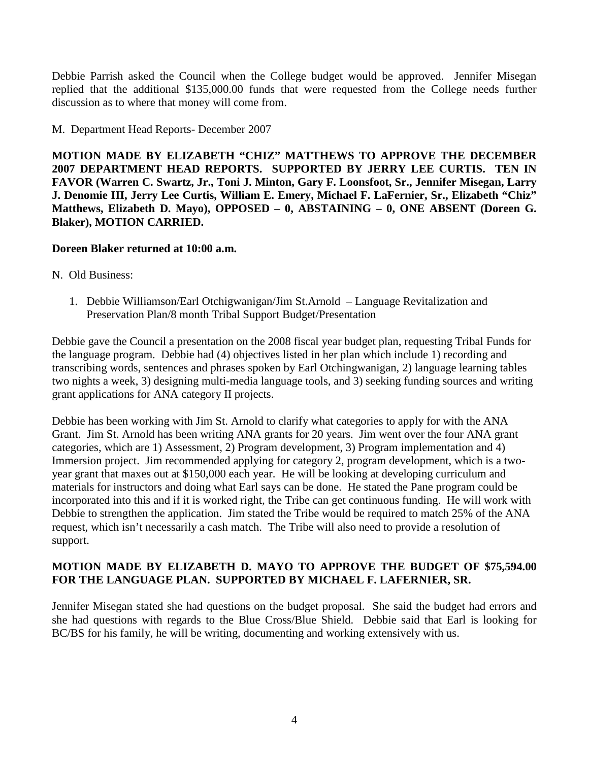Debbie Parrish asked the Council when the College budget would be approved. Jennifer Misegan replied that the additional \$135,000.00 funds that were requested from the College needs further discussion as to where that money will come from.

# M. Department Head Reports- December 2007

**MOTION MADE BY ELIZABETH "CHIZ" MATTHEWS TO APPROVE THE DECEMBER 2007 DEPARTMENT HEAD REPORTS. SUPPORTED BY JERRY LEE CURTIS. TEN IN FAVOR (Warren C. Swartz, Jr., Toni J. Minton, Gary F. Loonsfoot, Sr., Jennifer Misegan, Larry J. Denomie III, Jerry Lee Curtis, William E. Emery, Michael F. LaFernier, Sr., Elizabeth "Chiz" Matthews, Elizabeth D. Mayo), OPPOSED – 0, ABSTAINING – 0, ONE ABSENT (Doreen G. Blaker), MOTION CARRIED.**

### **Doreen Blaker returned at 10:00 a.m.**

- N. Old Business:
	- 1. Debbie Williamson/Earl Otchigwanigan/Jim St.Arnold Language Revitalization and Preservation Plan/8 month Tribal Support Budget/Presentation

Debbie gave the Council a presentation on the 2008 fiscal year budget plan, requesting Tribal Funds for the language program. Debbie had (4) objectives listed in her plan which include 1) recording and transcribing words, sentences and phrases spoken by Earl Otchingwanigan, 2) language learning tables two nights a week, 3) designing multi-media language tools, and 3) seeking funding sources and writing grant applications for ANA category II projects.

Debbie has been working with Jim St. Arnold to clarify what categories to apply for with the ANA Grant. Jim St. Arnold has been writing ANA grants for 20 years. Jim went over the four ANA grant categories, which are 1) Assessment, 2) Program development, 3) Program implementation and 4) Immersion project. Jim recommended applying for category 2, program development, which is a twoyear grant that maxes out at \$150,000 each year. He will be looking at developing curriculum and materials for instructors and doing what Earl says can be done. He stated the Pane program could be incorporated into this and if it is worked right, the Tribe can get continuous funding. He will work with Debbie to strengthen the application. Jim stated the Tribe would be required to match 25% of the ANA request, which isn't necessarily a cash match. The Tribe will also need to provide a resolution of support.

# **MOTION MADE BY ELIZABETH D. MAYO TO APPROVE THE BUDGET OF \$75,594.00 FOR THE LANGUAGE PLAN. SUPPORTED BY MICHAEL F. LAFERNIER, SR.**

Jennifer Misegan stated she had questions on the budget proposal. She said the budget had errors and she had questions with regards to the Blue Cross/Blue Shield. Debbie said that Earl is looking for BC/BS for his family, he will be writing, documenting and working extensively with us.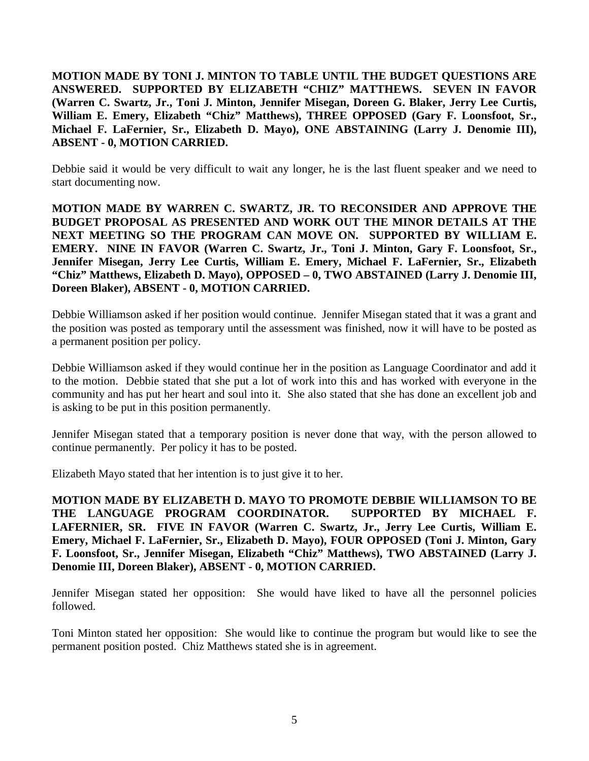**MOTION MADE BY TONI J. MINTON TO TABLE UNTIL THE BUDGET QUESTIONS ARE ANSWERED. SUPPORTED BY ELIZABETH "CHIZ" MATTHEWS. SEVEN IN FAVOR (Warren C. Swartz, Jr., Toni J. Minton, Jennifer Misegan, Doreen G. Blaker, Jerry Lee Curtis, William E. Emery, Elizabeth "Chiz" Matthews), THREE OPPOSED (Gary F. Loonsfoot, Sr., Michael F. LaFernier, Sr., Elizabeth D. Mayo), ONE ABSTAINING (Larry J. Denomie III), ABSENT - 0, MOTION CARRIED.**

Debbie said it would be very difficult to wait any longer, he is the last fluent speaker and we need to start documenting now.

**MOTION MADE BY WARREN C. SWARTZ, JR. TO RECONSIDER AND APPROVE THE BUDGET PROPOSAL AS PRESENTED AND WORK OUT THE MINOR DETAILS AT THE NEXT MEETING SO THE PROGRAM CAN MOVE ON. SUPPORTED BY WILLIAM E. EMERY. NINE IN FAVOR (Warren C. Swartz, Jr., Toni J. Minton, Gary F. Loonsfoot, Sr., Jennifer Misegan, Jerry Lee Curtis, William E. Emery, Michael F. LaFernier, Sr., Elizabeth "Chiz" Matthews, Elizabeth D. Mayo), OPPOSED – 0, TWO ABSTAINED (Larry J. Denomie III, Doreen Blaker), ABSENT - 0, MOTION CARRIED.** 

Debbie Williamson asked if her position would continue. Jennifer Misegan stated that it was a grant and the position was posted as temporary until the assessment was finished, now it will have to be posted as a permanent position per policy.

Debbie Williamson asked if they would continue her in the position as Language Coordinator and add it to the motion. Debbie stated that she put a lot of work into this and has worked with everyone in the community and has put her heart and soul into it. She also stated that she has done an excellent job and is asking to be put in this position permanently.

Jennifer Misegan stated that a temporary position is never done that way, with the person allowed to continue permanently. Per policy it has to be posted.

Elizabeth Mayo stated that her intention is to just give it to her.

**MOTION MADE BY ELIZABETH D. MAYO TO PROMOTE DEBBIE WILLIAMSON TO BE THE LANGUAGE PROGRAM COORDINATOR. SUPPORTED BY MICHAEL F. LAFERNIER, SR. FIVE IN FAVOR (Warren C. Swartz, Jr., Jerry Lee Curtis, William E. Emery, Michael F. LaFernier, Sr., Elizabeth D. Mayo), FOUR OPPOSED (Toni J. Minton, Gary F. Loonsfoot, Sr., Jennifer Misegan, Elizabeth "Chiz" Matthews), TWO ABSTAINED (Larry J. Denomie III, Doreen Blaker), ABSENT - 0, MOTION CARRIED.** 

Jennifer Misegan stated her opposition: She would have liked to have all the personnel policies followed.

Toni Minton stated her opposition: She would like to continue the program but would like to see the permanent position posted. Chiz Matthews stated she is in agreement.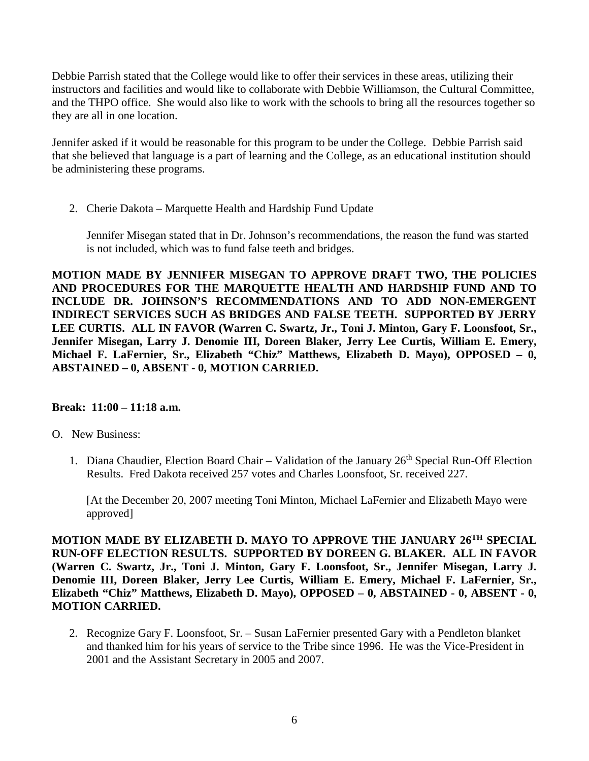Debbie Parrish stated that the College would like to offer their services in these areas, utilizing their instructors and facilities and would like to collaborate with Debbie Williamson, the Cultural Committee, and the THPO office. She would also like to work with the schools to bring all the resources together so they are all in one location.

Jennifer asked if it would be reasonable for this program to be under the College. Debbie Parrish said that she believed that language is a part of learning and the College, as an educational institution should be administering these programs.

2. Cherie Dakota – Marquette Health and Hardship Fund Update

Jennifer Misegan stated that in Dr. Johnson's recommendations, the reason the fund was started is not included, which was to fund false teeth and bridges.

**MOTION MADE BY JENNIFER MISEGAN TO APPROVE DRAFT TWO, THE POLICIES AND PROCEDURES FOR THE MARQUETTE HEALTH AND HARDSHIP FUND AND TO INCLUDE DR. JOHNSON'S RECOMMENDATIONS AND TO ADD NON-EMERGENT INDIRECT SERVICES SUCH AS BRIDGES AND FALSE TEETH. SUPPORTED BY JERRY LEE CURTIS. ALL IN FAVOR (Warren C. Swartz, Jr., Toni J. Minton, Gary F. Loonsfoot, Sr., Jennifer Misegan, Larry J. Denomie III, Doreen Blaker, Jerry Lee Curtis, William E. Emery, Michael F. LaFernier, Sr., Elizabeth "Chiz" Matthews, Elizabeth D. Mayo), OPPOSED – 0, ABSTAINED – 0, ABSENT - 0, MOTION CARRIED.** 

### **Break: 11:00 – 11:18 a.m.**

- O. New Business:
	- 1. Diana Chaudier, Election Board Chair Validation of the January 26<sup>th</sup> Special Run-Off Election Results. Fred Dakota received 257 votes and Charles Loonsfoot, Sr. received 227.

[At the December 20, 2007 meeting Toni Minton, Michael LaFernier and Elizabeth Mayo were approved]

**MOTION MADE BY ELIZABETH D. MAYO TO APPROVE THE JANUARY 26TH SPECIAL RUN-OFF ELECTION RESULTS. SUPPORTED BY DOREEN G. BLAKER. ALL IN FAVOR (Warren C. Swartz, Jr., Toni J. Minton, Gary F. Loonsfoot, Sr., Jennifer Misegan, Larry J. Denomie III, Doreen Blaker, Jerry Lee Curtis, William E. Emery, Michael F. LaFernier, Sr., Elizabeth "Chiz" Matthews, Elizabeth D. Mayo), OPPOSED – 0, ABSTAINED - 0, ABSENT - 0, MOTION CARRIED.** 

2. Recognize Gary F. Loonsfoot, Sr. – Susan LaFernier presented Gary with a Pendleton blanket and thanked him for his years of service to the Tribe since 1996. He was the Vice-President in 2001 and the Assistant Secretary in 2005 and 2007.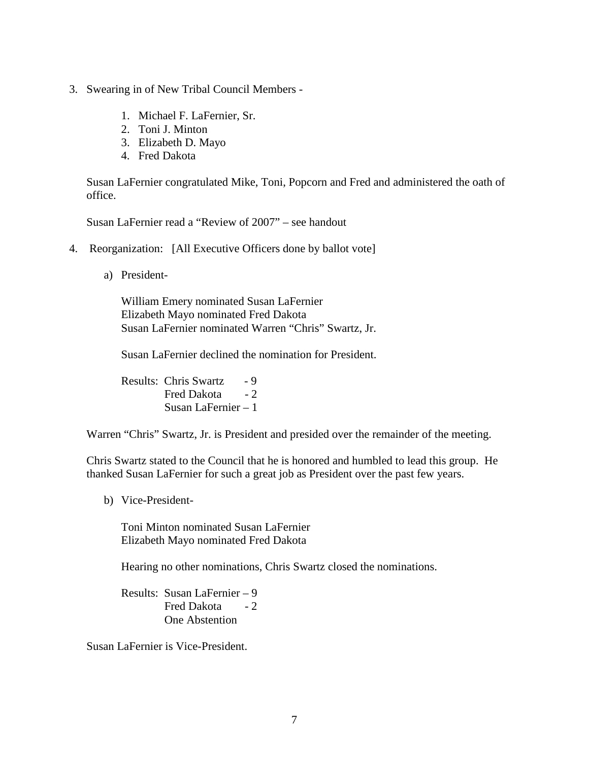- 3. Swearing in of New Tribal Council Members
	- 1. Michael F. LaFernier, Sr.
	- 2. Toni J. Minton
	- 3. Elizabeth D. Mayo
	- 4. Fred Dakota

Susan LaFernier congratulated Mike, Toni, Popcorn and Fred and administered the oath of office.

Susan LaFernier read a "Review of 2007" – see handout

- 4. Reorganization: [All Executive Officers done by ballot vote]
	- a) President-

William Emery nominated Susan LaFernier Elizabeth Mayo nominated Fred Dakota Susan LaFernier nominated Warren "Chris" Swartz, Jr.

Susan LaFernier declined the nomination for President.

Results: Chris Swartz - 9 Fred Dakota  $-2$ Susan LaFernier – 1

Warren "Chris" Swartz, Jr. is President and presided over the remainder of the meeting.

Chris Swartz stated to the Council that he is honored and humbled to lead this group. He thanked Susan LaFernier for such a great job as President over the past few years.

b) Vice-President-

Toni Minton nominated Susan LaFernier Elizabeth Mayo nominated Fred Dakota

Hearing no other nominations, Chris Swartz closed the nominations.

Results: Susan LaFernier – 9 Fred Dakota - 2 One Abstention

Susan LaFernier is Vice-President.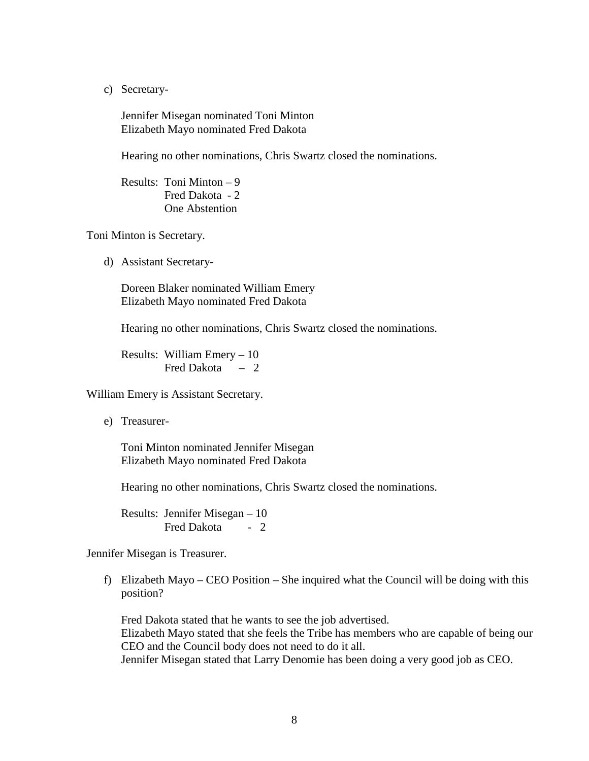c) Secretary-

Jennifer Misegan nominated Toni Minton Elizabeth Mayo nominated Fred Dakota

Hearing no other nominations, Chris Swartz closed the nominations.

Results: Toni Minton – 9 Fred Dakota - 2 One Abstention

Toni Minton is Secretary.

d) Assistant Secretary-

Doreen Blaker nominated William Emery Elizabeth Mayo nominated Fred Dakota

Hearing no other nominations, Chris Swartz closed the nominations.

Results: William Emery – 10 Fred Dakota – 2

William Emery is Assistant Secretary.

e) Treasurer-

Toni Minton nominated Jennifer Misegan Elizabeth Mayo nominated Fred Dakota

Hearing no other nominations, Chris Swartz closed the nominations.

Results: Jennifer Misegan – 10 Fred Dakota - 2

Jennifer Misegan is Treasurer.

f) Elizabeth Mayo – CEO Position – She inquired what the Council will be doing with this position?

Fred Dakota stated that he wants to see the job advertised. Elizabeth Mayo stated that she feels the Tribe has members who are capable of being our CEO and the Council body does not need to do it all. Jennifer Misegan stated that Larry Denomie has been doing a very good job as CEO.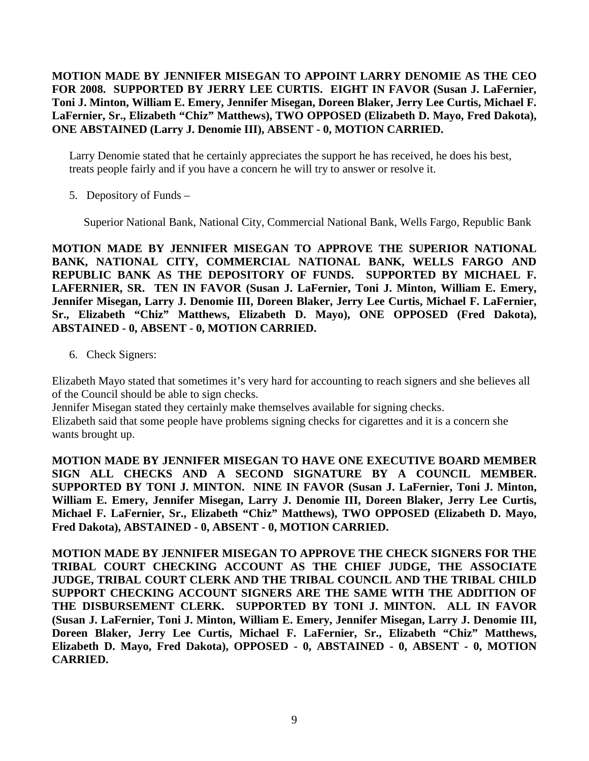# **MOTION MADE BY JENNIFER MISEGAN TO APPOINT LARRY DENOMIE AS THE CEO FOR 2008. SUPPORTED BY JERRY LEE CURTIS. EIGHT IN FAVOR (Susan J. LaFernier, Toni J. Minton, William E. Emery, Jennifer Misegan, Doreen Blaker, Jerry Lee Curtis, Michael F. LaFernier, Sr., Elizabeth "Chiz" Matthews), TWO OPPOSED (Elizabeth D. Mayo, Fred Dakota), ONE ABSTAINED (Larry J. Denomie III), ABSENT - 0, MOTION CARRIED.**

Larry Denomie stated that he certainly appreciates the support he has received, he does his best, treats people fairly and if you have a concern he will try to answer or resolve it.

5. Depository of Funds –

Superior National Bank, National City, Commercial National Bank, Wells Fargo, Republic Bank

**MOTION MADE BY JENNIFER MISEGAN TO APPROVE THE SUPERIOR NATIONAL BANK, NATIONAL CITY, COMMERCIAL NATIONAL BANK, WELLS FARGO AND REPUBLIC BANK AS THE DEPOSITORY OF FUNDS. SUPPORTED BY MICHAEL F. LAFERNIER, SR. TEN IN FAVOR (Susan J. LaFernier, Toni J. Minton, William E. Emery, Jennifer Misegan, Larry J. Denomie III, Doreen Blaker, Jerry Lee Curtis, Michael F. LaFernier, Sr., Elizabeth "Chiz" Matthews, Elizabeth D. Mayo), ONE OPPOSED (Fred Dakota), ABSTAINED - 0, ABSENT - 0, MOTION CARRIED.** 

6. Check Signers:

Elizabeth Mayo stated that sometimes it's very hard for accounting to reach signers and she believes all of the Council should be able to sign checks.

Jennifer Misegan stated they certainly make themselves available for signing checks.

Elizabeth said that some people have problems signing checks for cigarettes and it is a concern she wants brought up.

**MOTION MADE BY JENNIFER MISEGAN TO HAVE ONE EXECUTIVE BOARD MEMBER SIGN ALL CHECKS AND A SECOND SIGNATURE BY A COUNCIL MEMBER. SUPPORTED BY TONI J. MINTON. NINE IN FAVOR (Susan J. LaFernier, Toni J. Minton, William E. Emery, Jennifer Misegan, Larry J. Denomie III, Doreen Blaker, Jerry Lee Curtis, Michael F. LaFernier, Sr., Elizabeth "Chiz" Matthews), TWO OPPOSED (Elizabeth D. Mayo, Fred Dakota), ABSTAINED - 0, ABSENT - 0, MOTION CARRIED.** 

**MOTION MADE BY JENNIFER MISEGAN TO APPROVE THE CHECK SIGNERS FOR THE TRIBAL COURT CHECKING ACCOUNT AS THE CHIEF JUDGE, THE ASSOCIATE JUDGE, TRIBAL COURT CLERK AND THE TRIBAL COUNCIL AND THE TRIBAL CHILD SUPPORT CHECKING ACCOUNT SIGNERS ARE THE SAME WITH THE ADDITION OF THE DISBURSEMENT CLERK. SUPPORTED BY TONI J. MINTON. ALL IN FAVOR (Susan J. LaFernier, Toni J. Minton, William E. Emery, Jennifer Misegan, Larry J. Denomie III, Doreen Blaker, Jerry Lee Curtis, Michael F. LaFernier, Sr., Elizabeth "Chiz" Matthews, Elizabeth D. Mayo, Fred Dakota), OPPOSED - 0, ABSTAINED - 0, ABSENT - 0, MOTION CARRIED.**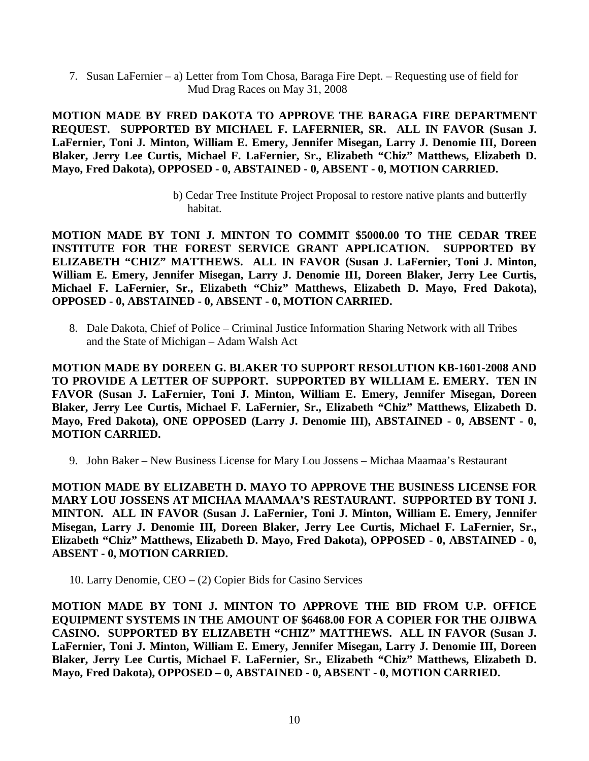7. Susan LaFernier – a) Letter from Tom Chosa, Baraga Fire Dept. – Requesting use of field for Mud Drag Races on May 31, 2008

**MOTION MADE BY FRED DAKOTA TO APPROVE THE BARAGA FIRE DEPARTMENT REQUEST. SUPPORTED BY MICHAEL F. LAFERNIER, SR. ALL IN FAVOR (Susan J. LaFernier, Toni J. Minton, William E. Emery, Jennifer Misegan, Larry J. Denomie III, Doreen Blaker, Jerry Lee Curtis, Michael F. LaFernier, Sr., Elizabeth "Chiz" Matthews, Elizabeth D. Mayo, Fred Dakota), OPPOSED - 0, ABSTAINED - 0, ABSENT - 0, MOTION CARRIED.** 

> b) Cedar Tree Institute Project Proposal to restore native plants and butterfly habitat.

**MOTION MADE BY TONI J. MINTON TO COMMIT \$5000.00 TO THE CEDAR TREE INSTITUTE FOR THE FOREST SERVICE GRANT APPLICATION. SUPPORTED BY ELIZABETH "CHIZ" MATTHEWS. ALL IN FAVOR (Susan J. LaFernier, Toni J. Minton, William E. Emery, Jennifer Misegan, Larry J. Denomie III, Doreen Blaker, Jerry Lee Curtis, Michael F. LaFernier, Sr., Elizabeth "Chiz" Matthews, Elizabeth D. Mayo, Fred Dakota), OPPOSED - 0, ABSTAINED - 0, ABSENT - 0, MOTION CARRIED.** 

8. Dale Dakota, Chief of Police – Criminal Justice Information Sharing Network with all Tribes and the State of Michigan – Adam Walsh Act

**MOTION MADE BY DOREEN G. BLAKER TO SUPPORT RESOLUTION KB-1601-2008 AND TO PROVIDE A LETTER OF SUPPORT. SUPPORTED BY WILLIAM E. EMERY. TEN IN FAVOR (Susan J. LaFernier, Toni J. Minton, William E. Emery, Jennifer Misegan, Doreen Blaker, Jerry Lee Curtis, Michael F. LaFernier, Sr., Elizabeth "Chiz" Matthews, Elizabeth D. Mayo, Fred Dakota), ONE OPPOSED (Larry J. Denomie III), ABSTAINED - 0, ABSENT - 0, MOTION CARRIED.** 

9. John Baker – New Business License for Mary Lou Jossens – Michaa Maamaa's Restaurant

**MOTION MADE BY ELIZABETH D. MAYO TO APPROVE THE BUSINESS LICENSE FOR MARY LOU JOSSENS AT MICHAA MAAMAA'S RESTAURANT. SUPPORTED BY TONI J. MINTON. ALL IN FAVOR (Susan J. LaFernier, Toni J. Minton, William E. Emery, Jennifer Misegan, Larry J. Denomie III, Doreen Blaker, Jerry Lee Curtis, Michael F. LaFernier, Sr., Elizabeth "Chiz" Matthews, Elizabeth D. Mayo, Fred Dakota), OPPOSED - 0, ABSTAINED - 0, ABSENT - 0, MOTION CARRIED.** 

10. Larry Denomie, CEO – (2) Copier Bids for Casino Services

**MOTION MADE BY TONI J. MINTON TO APPROVE THE BID FROM U.P. OFFICE EQUIPMENT SYSTEMS IN THE AMOUNT OF \$6468.00 FOR A COPIER FOR THE OJIBWA CASINO. SUPPORTED BY ELIZABETH "CHIZ" MATTHEWS. ALL IN FAVOR (Susan J. LaFernier, Toni J. Minton, William E. Emery, Jennifer Misegan, Larry J. Denomie III, Doreen Blaker, Jerry Lee Curtis, Michael F. LaFernier, Sr., Elizabeth "Chiz" Matthews, Elizabeth D. Mayo, Fred Dakota), OPPOSED – 0, ABSTAINED - 0, ABSENT - 0, MOTION CARRIED.**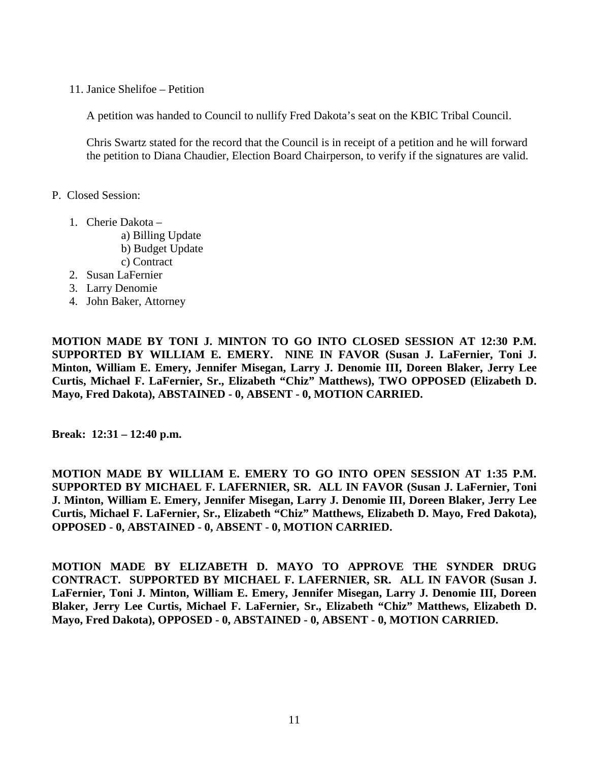11. Janice Shelifoe – Petition

A petition was handed to Council to nullify Fred Dakota's seat on the KBIC Tribal Council.

Chris Swartz stated for the record that the Council is in receipt of a petition and he will forward the petition to Diana Chaudier, Election Board Chairperson, to verify if the signatures are valid.

- P. Closed Session:
	- 1. Cherie Dakota
		- a) Billing Update b) Budget Update c) Contract
	- 2. Susan LaFernier
	- 3. Larry Denomie
	- 4. John Baker, Attorney

**MOTION MADE BY TONI J. MINTON TO GO INTO CLOSED SESSION AT 12:30 P.M. SUPPORTED BY WILLIAM E. EMERY. NINE IN FAVOR (Susan J. LaFernier, Toni J. Minton, William E. Emery, Jennifer Misegan, Larry J. Denomie III, Doreen Blaker, Jerry Lee Curtis, Michael F. LaFernier, Sr., Elizabeth "Chiz" Matthews), TWO OPPOSED (Elizabeth D. Mayo, Fred Dakota), ABSTAINED - 0, ABSENT - 0, MOTION CARRIED.** 

**Break: 12:31 – 12:40 p.m.**

**MOTION MADE BY WILLIAM E. EMERY TO GO INTO OPEN SESSION AT 1:35 P.M. SUPPORTED BY MICHAEL F. LAFERNIER, SR. ALL IN FAVOR (Susan J. LaFernier, Toni J. Minton, William E. Emery, Jennifer Misegan, Larry J. Denomie III, Doreen Blaker, Jerry Lee Curtis, Michael F. LaFernier, Sr., Elizabeth "Chiz" Matthews, Elizabeth D. Mayo, Fred Dakota), OPPOSED - 0, ABSTAINED - 0, ABSENT - 0, MOTION CARRIED.** 

**MOTION MADE BY ELIZABETH D. MAYO TO APPROVE THE SYNDER DRUG CONTRACT. SUPPORTED BY MICHAEL F. LAFERNIER, SR. ALL IN FAVOR (Susan J. LaFernier, Toni J. Minton, William E. Emery, Jennifer Misegan, Larry J. Denomie III, Doreen Blaker, Jerry Lee Curtis, Michael F. LaFernier, Sr., Elizabeth "Chiz" Matthews, Elizabeth D. Mayo, Fred Dakota), OPPOSED - 0, ABSTAINED - 0, ABSENT - 0, MOTION CARRIED.**